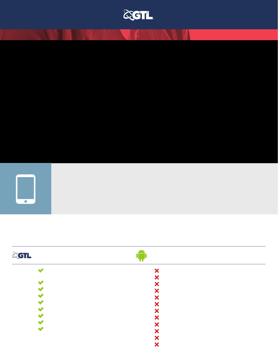



# Security Knows No Bounds

The main priorities of correctional facilities are security, safety, and control. GTL's main goal is to provide that to customers. Our transformative technologies, such as the Inspire tablet, are specifically designed for the correct environment. From the tablet itself and its operating system, to the network it connects to and the added securi features that are enabled, Inspire is the latest in a long line of trusted and indispensable correctional tools.

# Operating System Highly-Secure Customized Android Firmware